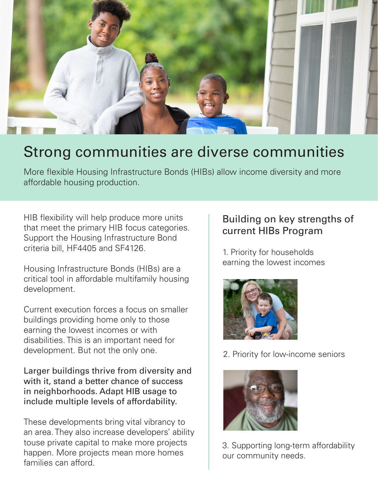

## Strong communities are diverse communities

More flexible Housing Infrastructure Bonds (HIBs) allow income diversity and more affordable housing production.

HIB flexibility will help produce more units that meet the primary HIB focus categories. Support the Housing Infrastructure Bond criteria bill, HF4405 and SF4126.

Housing Infrastructure Bonds (HIBs) are a critical tool in affordable multifamily housing development.

Current execution forces a focus on smaller buildings providing home only to those earning the lowest incomes or with disabilities. This is an important need for development. But not the only one.

Larger buildings thrive from diversity and with it, stand a better chance of success in neighborhoods. Adapt HIB usage to include multiple levels of affordability.

These developments bring vital vibrancy to an area. They also increase developers' ability touse private capital to make more projects happen. More projects mean more homes families can afford.

## Building on key strengths of current HIBs Program

1. Priority for households earning the lowest incomes



2. Priority for low-income seniors



3. Supporting long-term affordability our community needs.